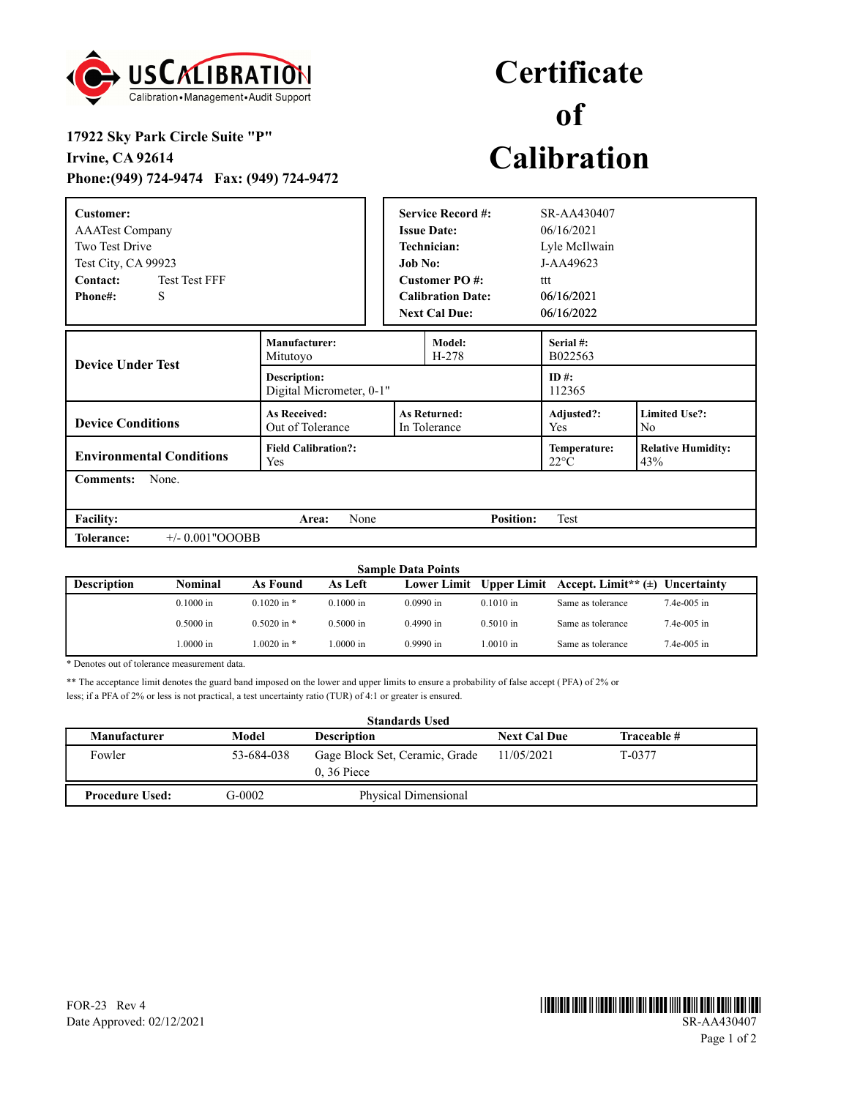

## **Certificate of Calibration**

## **17922 Sky Park Circle Suite "P" Irvine, CA 92614 Phone:(949) 724-9474 Fax: (949) 724-9472**

| Customer:<br><b>AAATest Company</b><br><b>Two Test Drive</b><br>Test City, CA 99923<br>Contact:<br><b>Test Test FFF</b><br>S<br>Phone#: |                                                 | <b>Job No:</b> | <b>Service Record #:</b><br><b>Issue Date:</b><br>Technician:<br><b>Customer PO#:</b><br><b>Calibration Date:</b><br><b>Next Cal Due:</b> | SR-AA430407<br>06/16/2021<br>Lyle McIlwain<br>J-AA49623<br>ttt<br>06/16/2021<br>06/16/2022 |                                        |  |  |
|-----------------------------------------------------------------------------------------------------------------------------------------|-------------------------------------------------|----------------|-------------------------------------------------------------------------------------------------------------------------------------------|--------------------------------------------------------------------------------------------|----------------------------------------|--|--|
| <b>Device Under Test</b>                                                                                                                | Manufacturer:<br>Mitutoyo                       |                | Model:<br>$H-278$                                                                                                                         | Serial #:<br>B022563                                                                       |                                        |  |  |
|                                                                                                                                         | <b>Description:</b><br>Digital Micrometer, 0-1" |                |                                                                                                                                           | ID#:<br>112365                                                                             |                                        |  |  |
| <b>Device Conditions</b>                                                                                                                | <b>As Received:</b><br>Out of Tolerance         |                | <b>As Returned:</b><br>In Tolerance                                                                                                       | Adjusted?:<br>Yes                                                                          | <b>Limited Use?:</b><br>N <sub>o</sub> |  |  |
| <b>Environmental Conditions</b>                                                                                                         | <b>Field Calibration?:</b><br><b>Yes</b>        |                |                                                                                                                                           | Temperature:<br>$22^{\circ}$ C                                                             | <b>Relative Humidity:</b><br>43%       |  |  |
| <b>Comments:</b><br>None.                                                                                                               |                                                 |                |                                                                                                                                           |                                                                                            |                                        |  |  |
| <b>Facility:</b>                                                                                                                        | None<br>Area:                                   |                | <b>Position:</b>                                                                                                                          | Test                                                                                       |                                        |  |  |
| $+/- 0.001"OOOBB$<br><b>Tolerance:</b>                                                                                                  |                                                 |                |                                                                                                                                           |                                                                                            |                                        |  |  |

| <b>Sample Data Points</b> |             |                 |             |                    |             |                                                 |               |
|---------------------------|-------------|-----------------|-------------|--------------------|-------------|-------------------------------------------------|---------------|
| <b>Description</b>        | Nominal     | As Found        | As Left     | <b>Lower Limit</b> |             | Upper Limit Accept. Limit** $(\pm)$ Uncertainty |               |
|                           | $0.1000$ in | $0.1020$ in $*$ | $0.1000$ in | $0.0990$ in        | $0.1010$ in | Same as tolerance                               | $7.4e-005$ in |
|                           | $0.5000$ in | $0.5020$ in $*$ | $0.5000$ in | $0.4990$ in        | $0.5010$ in | Same as tolerance                               | $7.4e-005$ in |
|                           | .0000 in    | $.0020$ in $*$  | .0000 in    | $0.9990$ in        | $.0010$ in  | Same as tolerance                               | $7.4e-005$ in |

\* Denotes out of tolerance measurement data.

\*\* The acceptance limit denotes the guard band imposed on the lower and upper limits to ensure a probability of false accept ( PFA) of 2% or less; if a PFA of 2% or less is not practical, a test uncertainty ratio (TUR) of 4:1 or greater is ensured.

| <b>Standards Used</b>  |            |                                                |                     |             |  |  |
|------------------------|------------|------------------------------------------------|---------------------|-------------|--|--|
| <b>Manufacturer</b>    | Model      | <b>Description</b>                             | <b>Next Cal Due</b> | Traceable # |  |  |
| Fowler                 | 53-684-038 | Gage Block Set, Ceramic, Grade<br>$0.36$ Piece | 11/05/2021          | T-0377      |  |  |
| <b>Procedure Used:</b> | G-0002     | Physical Dimensional                           |                     |             |  |  |